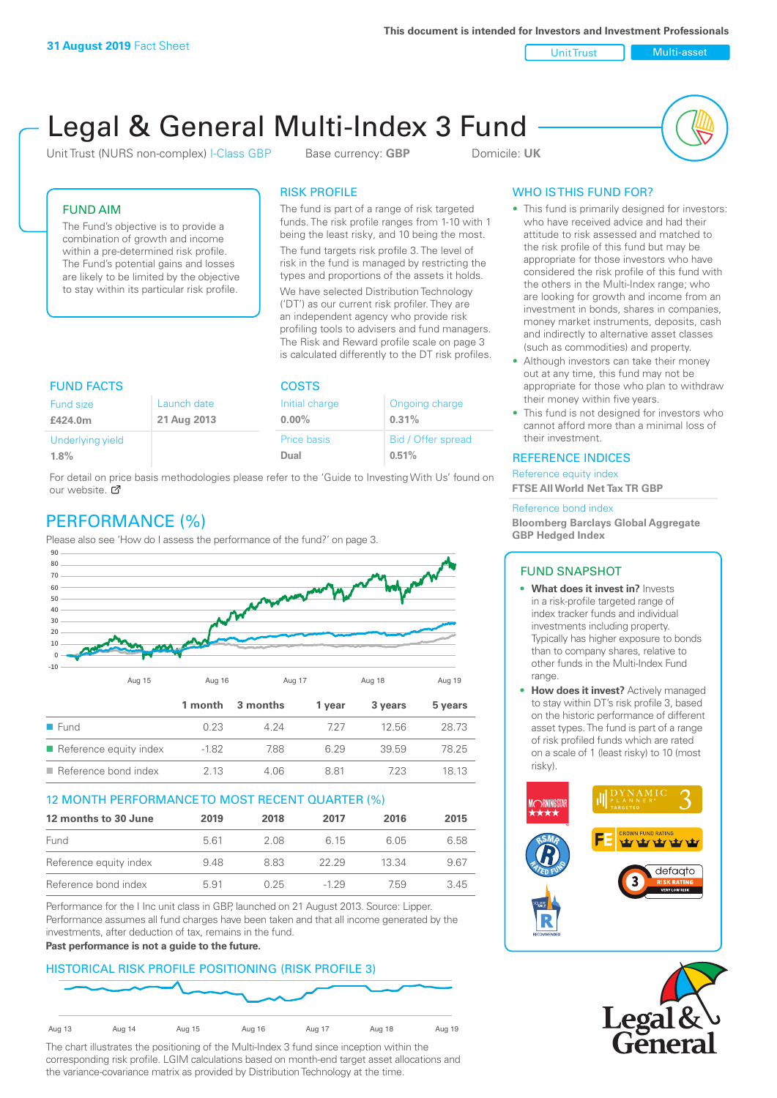Unit Trust Nulti-asset

# Legal & General Multi-Index 3 Fund

Unit Trust (NURS non-complex) I-Class GBP Base currency: **GBP** Domicile: UK



## FUND AIM

The Fund's objective is to provide a combination of growth and income within a pre-determined risk profile. The Fund's potential gains and losses are likely to be limited by the objective to stay within its particular risk profile.

## RISK PROFILE

The fund is part of a range of risk targeted funds. The risk profile ranges from 1-10 with 1 being the least risky, and 10 being the most.

The fund targets risk profile 3. The level of risk in the fund is managed by restricting the types and proportions of the assets it holds. We have selected Distribution Technology ('DT') as our current risk profiler. They are an independent agency who provide risk profiling tools to advisers and fund managers. The Risk and Reward profile scale on page 3 is calculated differently to the DT risk profiles.

| <b>FUND FACTS</b>                                  |  | <b>COSTS</b>               |                             |  |
|----------------------------------------------------|--|----------------------------|-----------------------------|--|
| Launch date<br>Fund size<br>21 Aug 2013<br>£424.0m |  | Initial charge<br>$0.00\%$ | Ongoing charge<br>0.31%     |  |
| Underlying yield<br>1.8%                           |  | <b>Price basis</b><br>Dual | Bid / Offer spread<br>0.51% |  |

For detail on price basis methodologies please refer to the 'Guide to Investing With Us' found on our website. Ø

# PERFORMANCE (%)

Please also see 'How do I assess the performance of the fund?' on page 3.



## 12 MONTH PERFORMANCE TO MOST RECENT QUARTER (%)

| 12 months to 30 June   | 2019 | 2018 | 2017   | 2016  | 2015 |
|------------------------|------|------|--------|-------|------|
| Fund                   | 561  | 2.08 | 6 15   | 6.05  | 6.58 |
| Reference equity index | 9.48 | 8.83 | 22.29  | 13.34 | 9.67 |
| Reference bond index   | 5.91 | 0.25 | $-129$ | 759   | 3.45 |

Performance for the I Inc unit class in GBP, launched on 21 August 2013. Source: Lipper. Performance assumes all fund charges have been taken and that all income generated by the investments, after deduction of tax, remains in the fund.

#### **Past performance is not a guide to the future.**

## HISTORICAL RISK PROFILE POSITIONING (RISK PROFILE 3)



The chart illustrates the positioning of the Multi-Index 3 fund since inception within the corresponding risk profile. LGIM calculations based on month-end target asset allocations and the variance-covariance matrix as provided by Distribution Technology at the time.

# WHO IS THIS FUND FOR?

- This fund is primarily designed for investors: who have received advice and had their attitude to risk assessed and matched to the risk profile of this fund but may be appropriate for those investors who have considered the risk profile of this fund with the others in the Multi-Index range; who are looking for growth and income from an investment in bonds, shares in companies, money market instruments, deposits, cash and indirectly to alternative asset classes (such as commodities) and property.
- Although investors can take their money out at any time, this fund may not be appropriate for those who plan to withdraw their money within five years.
- This fund is not designed for investors who cannot afford more than a minimal loss of their investment.

## REFERENCE INDICES

Reference equity index **FTSE All World Net Tax TR GBP**

#### Reference bond index

**Bloomberg Barclays Global Aggregate GBP Hedged Index**

#### FUND SNAPSHOT

- **• What does it invest in?** Invests in a risk-profile targeted range of index tracker funds and individual investments including property. Typically has higher exposure to bonds than to company shares, relative to other funds in the Multi-Index Fund range.
- **• How does it invest?** Actively managed to stay within DT's risk profile 3, based on the historic performance of different asset types. The fund is part of a range of risk profiled funds which are rated on a scale of 1 (least risky) to 10 (most risky).



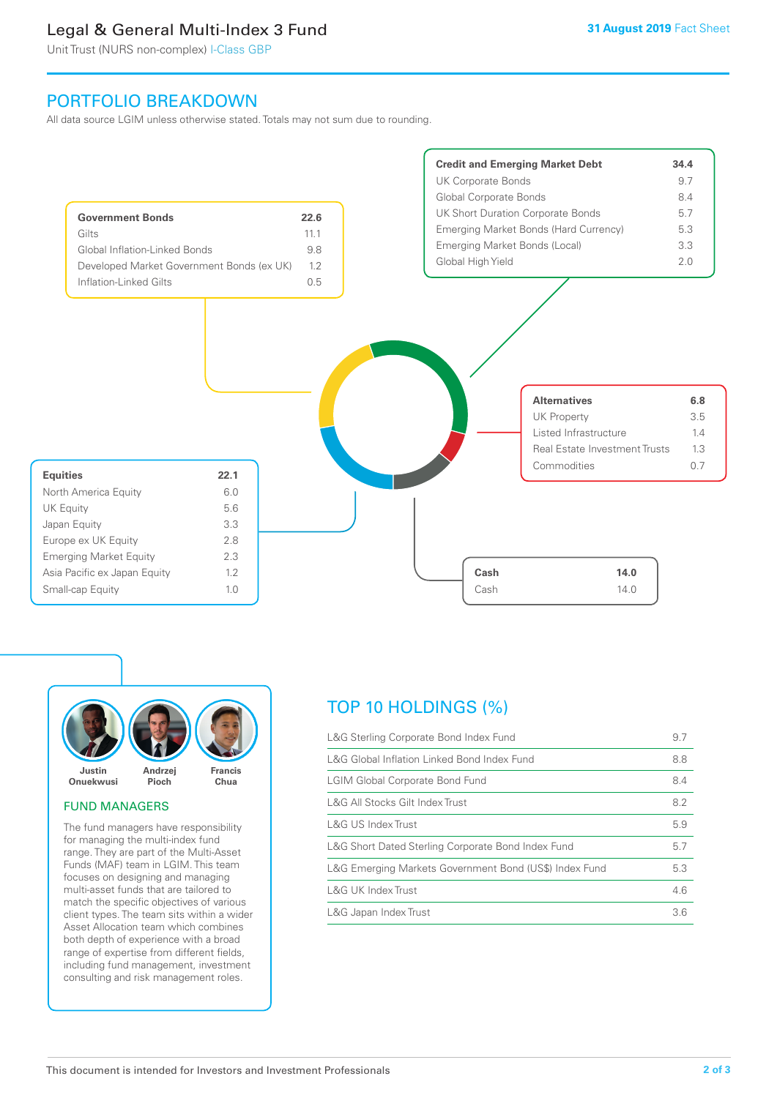# Legal & General Multi-Index 3 Fund

Unit Trust (NURS non-complex) I-Class GBP

# PORTFOLIO BREAKDOWN

All data source LGIM unless otherwise stated. Totals may not sum due to rounding.





## FUND MANAGERS

The fund managers have responsibility for managing the multi-index fund range. They are part of the Multi-Asset Funds (MAF) team in LGIM. This team focuses on designing and managing multi-asset funds that are tailored to match the specific objectives of various client types. The team sits within a wider Asset Allocation team which combines both depth of experience with a broad range of expertise from different fields, including fund management, investment consulting and risk management roles.

# TOP 10 HOLDINGS (%)

| L&G Sterling Corporate Bond Index Fund                 | 9.7 |
|--------------------------------------------------------|-----|
| L&G Global Inflation Linked Bond Index Fund            | 8.8 |
| <b>LGIM Global Corporate Bond Fund</b>                 | 8.4 |
| L&G All Stocks Gilt Index Trust                        | 8.2 |
| L&G US Index Trust                                     | 5.9 |
| L&G Short Dated Sterling Corporate Bond Index Fund     | 5.7 |
| L&G Emerging Markets Government Bond (US\$) Index Fund | 5.3 |
| <b>L&amp;G UK Index Trust</b>                          | 4.6 |
| L&G Japan Index Trust                                  | 3.6 |